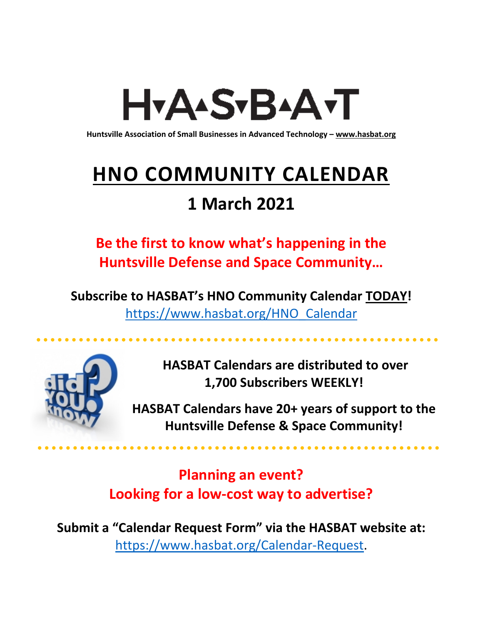# H<sub>Y</sub>AASTBAATT

**Huntsville Association of Small Businesses in Advanced Technology – [www.hasbat.org](http://www.hasbat.org/)**

# **HNO COMMUNITY CALENDAR**

### **1 March 2021**

**Be the first to know what's happening in the Huntsville Defense and Space Community…** 

**Subscribe to HASBAT's HNO Community Calendar TODAY!**  [https://www.hasbat.org/HNO\\_Calendar](https://www.hasbat.org/HNO_Calendar)



**HASBAT Calendars are distributed to over 1,700 Subscribers WEEKLY!**

**HASBAT Calendars have 20+ years of support to the Huntsville Defense & Space Community!** 

**Planning an event? Looking for a low-cost way to advertise?**

**Submit a "Calendar Request Form" via the HASBAT website at:**  [https://www.hasbat.org/Calendar-Request.](https://www.hasbat.org/Calendar-Request)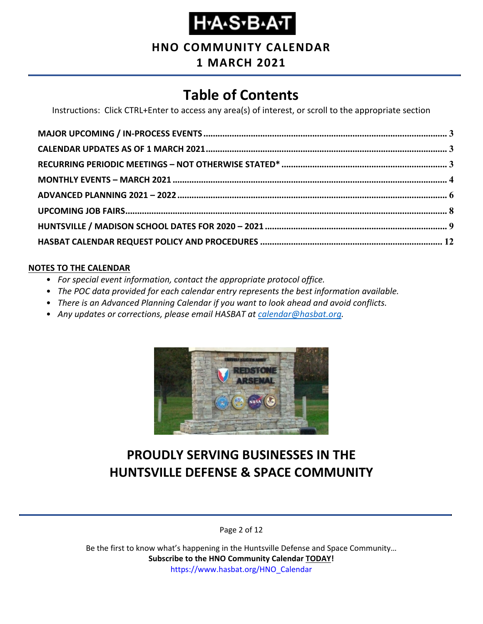**HNO COMMUNITY CALENDAR**

### **1 MARCH 2021**

### **Table of Contents**

Instructions: Click CTRL+Enter to access any area(s) of interest, or scroll to the appropriate section

#### **NOTES TO THE CALENDAR**

- *For special event information, contact the appropriate protocol office.*
- *The POC data provided for each calendar entry represents the best information available.*
- *There is an Advanced Planning Calendar if you want to look ahead and avoid conflicts.*
- *Any updates or corrections, please email HASBAT at [calendar@hasbat.org.](mailto:calendar@hasbat.org)*



### **PROUDLY SERVING BUSINESSES IN THE HUNTSVILLE DEFENSE & SPACE COMMUNITY**

Page 2 of 12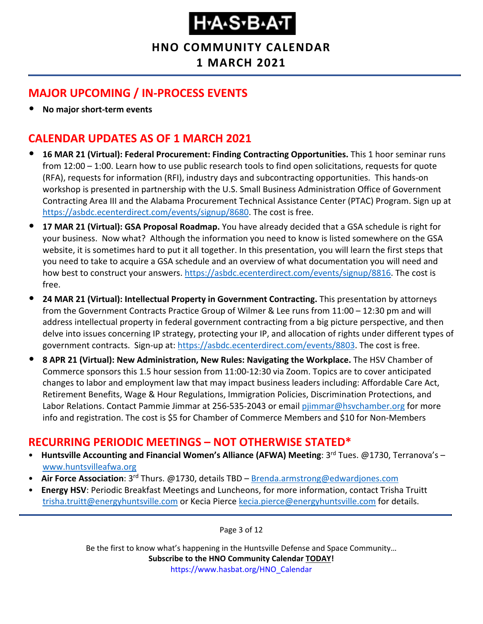### **HNO COMMUNITY CALENDAR**

**1 MARCH 2021**

### <span id="page-2-0"></span>**MAJOR UPCOMING / IN-PROCESS EVENTS**

• **No major short-term events**

### <span id="page-2-1"></span>**CALENDAR UPDATES AS OF 1 MARCH 2021**

- **16 MAR 21 (Virtual): Federal Procurement: Finding Contracting Opportunities.** This 1 hoor seminar runs from 12:00 – 1:00. Learn how to use public research tools to find open solicitations, requests for quote (RFA), requests for information (RFI), industry days and subcontracting opportunities. This hands-on workshop is presented in partnership with the U.S. Small Business Administration Office of Government Contracting Area III and the Alabama Procurement Technical Assistance Center (PTAC) Program. Sign up at [https://asbdc.ecenterdirect.com/events/signup/8680.](https://asbdc.ecenterdirect.com/events/signup/8680) The cost is free.
- **17 MAR 21 (Virtual): GSA Proposal Roadmap.** You have already decided that a GSA schedule is right for your business. Now what? Although the information you need to know is listed somewhere on the GSA website, it is sometimes hard to put it all together. In this presentation, you will learn the first steps that you need to take to acquire a GSA schedule and an overview of what documentation you will need and how best to construct your answers. [https://asbdc.ecenterdirect.com/events/signup/8816.](https://asbdc.ecenterdirect.com/events/signup/8816) The cost is free.
- **24 MAR 21 (Virtual): Intellectual Property in Government Contracting.** This presentation by attorneys from the Government Contracts Practice Group of Wilmer & Lee runs from 11:00 – 12:30 pm and will address intellectual property in federal government contracting from a big picture perspective, and then delve into issues concerning IP strategy, protecting your IP, and allocation of rights under different types of government contracts. Sign-up at: [https://asbdc.ecenterdirect.com/events/8803.](https://asbdc.ecenterdirect.com/events/8803) The cost is free.
- **8 APR 21 (Virtual): New Administration, New Rules: Navigating the Workplace.** The HSV Chamber of Commerce sponsors this 1.5 hour session from 11:00-12:30 via Zoom. Topics are to cover anticipated changes to labor and employment law that may impact business leaders including: Affordable Care Act, Retirement Benefits, Wage & Hour Regulations, Immigration Policies, Discrimination Protections, and Labor Relations. Contact Pammie Jimmar at 256-535-2043 or email [pjimmar@hsvchamber.org](mailto:pjimmar@hsvchamber.org) for more info and registration. The cost is \$5 for Chamber of Commerce Members and \$10 for Non-Members

### <span id="page-2-2"></span>**RECURRING PERIODIC MEETINGS – NOT OTHERWISE STATED\***

- Huntsville Accounting and Financial Women's Alliance (AFWA) Meeting: 3<sup>rd</sup> Tues. @1730, Terranova's [www.huntsvilleafwa.org](http://www.huntsvilleafwa.org/)
- **Air Force Association**: 3<sup>rd</sup> Thurs. @1730, details TBD [Brenda.armstrong@edwardjones.com](mailto:Brenda.armstrong@edwardjones.com)
- **Energy HSV**: Periodic Breakfast Meetings and Luncheons, for more information, contact Trisha Truitt [trisha.truitt@energyhuntsville.com](mailto:trisha.truitt@energyhuntsville.com) or Kecia Pierce [kecia.pierce@energyhuntsville.com](mailto:kecia.pierce@energyhuntsville.com) for details.

Page 3 of 12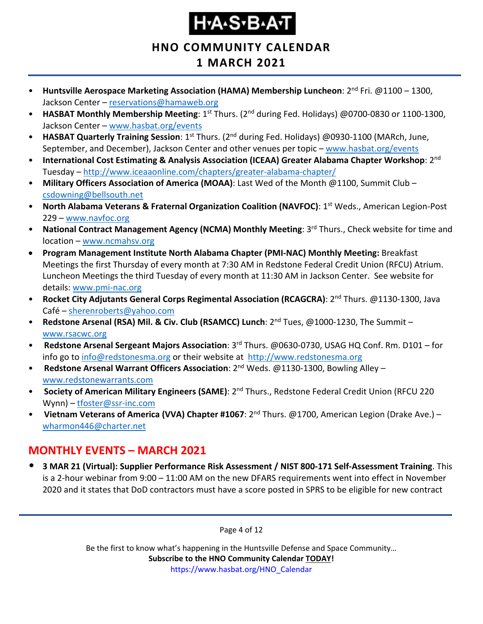**HNO COMMUNITY CALENDAR**

### **1 MARCH 2021**

- **Huntsville Aerospace Marketing Association (HAMA) Membership Luncheon**: 2<sup>nd</sup> Fri. @1100 1300, Jackson Center – [reservations@hamaweb.org](mailto:reservations@hamaweb.org)
- **HASBAT Monthly Membership Meeting**: 1<sup>st</sup> Thurs. (2<sup>nd</sup> during Fed. Holidays) @0700-0830 or 1100-1300, Jackson Center – [www.hasbat.org/events](http://www.hasbat.org/events)
- **HASBAT Quarterly Training Session**: 1st Thurs. (2nd during Fed. Holidays) @0930-1100 (MARch, June, September, and December), Jackson Center and other venues per topic – [www.hasbat.org/events](http://www.hasbat.org/events)
- **International Cost Estimating & Analysis Association (ICEAA) Greater Alabama Chapter Workshop**: 2nd Tuesday – <http://www.iceaaonline.com/chapters/greater-alabama-chapter/>
- **Military Officers Association of America (MOAA)**: Last Wed of the Month @1100, Summit Club [csdowning@bellsouth.net](mailto:csdowning@bellsouth.net)
- **North Alabama Veterans & Fraternal Organization Coalition (NAVFOC): 1<sup>st</sup> Weds., American Legion-Post** 229 – [www.navfoc.org](http://www.navfoc.org/)
- **National Contract Management Agency (NCMA) Monthly Meeting**: 3rd Thurs., Check website for time and location – [www.ncmahsv.org](http://www.ncmahsv.org/)
- **Program Management Institute North Alabama Chapter (PMI-NAC) Monthly Meeting:** Breakfast Meetings the first Thursday of every month at 7:30 AM in Redstone Federal Credit Union (RFCU) Atrium. Luncheon Meetings the third Tuesday of every month at 11:30 AM in Jackson Center. See website for details: [www.pmi-nac.org](http://www.pmi-nac.org/)
- **Rocket City Adjutants General Corps Regimental Association (RCAGCRA)**: 2nd Thurs. @1130-1300, Java Café – [sherenroberts@yahoo.com](mailto:sherenroberts@yahoo.com)
- **Redstone Arsenal (RSA) Mil. & Civ. Club (RSAMCC) Lunch**: 2nd Tues, @1000-1230, The Summit [www.rsacwc.org](http://www.rsacwc.org/)
- **Redstone Arsenal Sergeant Majors Association**: 3rd Thurs. @0630-0730, USAG HQ Conf. Rm. D101 for info go to [info@redstonesma.org](mailto:info@redstonesma.org) or their website at [http://www.redstonesma.org](http://www.redstonesma.org/)
- **Redstone Arsenal Warrant Officers Association**: 2nd Weds. @1130-1300, Bowling Alley [www.redstonewarrants.com](http://www.redstonewarrants.com/)
- **Society of American Military Engineers (SAME)**: 2nd Thurs., Redstone Federal Credit Union (RFCU 220 Wynn) – [tfoster@ssr-inc.com](mailto:tfoster@ssr-inc.com)
- Vietnam Veterans of America (VVA) Chapter #1067: 2<sup>nd</sup> Thurs. @1700, American Legion (Drake Ave.) [wharmon446@charter.net](mailto:wharmon446@charter.net)

### <span id="page-3-0"></span>**MONTHLY EVENTS – MARCH 2021**

• **3 MAR 21 (Virtual): Supplier Performance Risk Assessment / NIST 800-171 Self-Assessment Training**. This is a 2-hour webinar from 9:00 – 11:00 AM on the new DFARS requirements went into effect in November 2020 and it states that DoD contractors must have a score posted in SPRS to be eligible for new contract

Page 4 of 12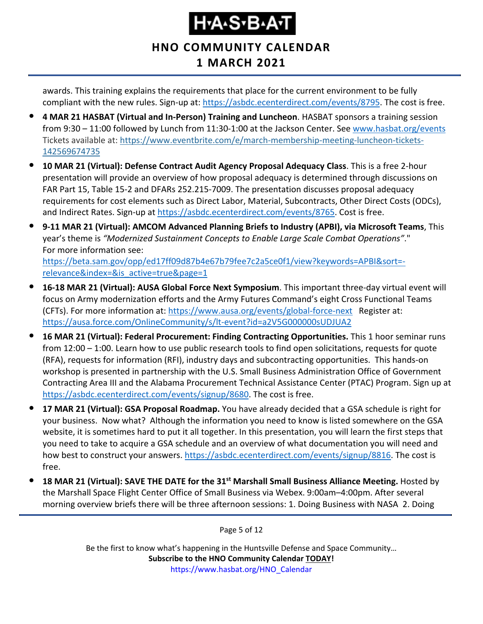### **HNO COMMUNITY CALENDAR 1 MARCH 2021**

awards. This training explains the requirements that place for the current environment to be fully compliant with the new rules. Sign-up at: [https://asbdc.ecenterdirect.com/events/8795.](https://asbdc.ecenterdirect.com/events/8795) The cost is free.

- **4 MAR 21 HASBAT (Virtual and In-Person) Training and Luncheon**. HASBAT sponsors a training session from 9:30 – 11:00 followed by Lunch from 11:30-1:00 at the Jackson Center. See [www.hasbat.org/events](http://www.hasbat.org/events) Tickets available at: [https://www.eventbrite.com/e/march-membership-meeting-luncheon-tickets-](https://www.eventbrite.com/e/march-membership-meeting-luncheon-tickets-142569674735)[142569674735](https://www.eventbrite.com/e/march-membership-meeting-luncheon-tickets-142569674735)
- **10 MAR 21 (Virtual): Defense Contract Audit Agency Proposal Adequacy Class**. This is a free 2-hour presentation will provide an overview of how proposal adequacy is determined through discussions on FAR Part 15, Table 15-2 and DFARs 252.215-7009. The presentation discusses proposal adequacy requirements for cost elements such as Direct Labor, Material, Subcontracts, Other Direct Costs (ODCs), and Indirect Rates. Sign-up at [https://asbdc.ecenterdirect.com/events/8765.](https://asbdc.ecenterdirect.com/events/8765) Cost is free.
- **9-11 MAR 21 (Virtual): AMCOM Advanced Planning Briefs to Industry (APBI), via Microsoft Teams**, This year's theme is *"Modernized Sustainment Concepts to Enable Large Scale Combat Operations"*." For more information see:

[https://beta.sam.gov/opp/ed17ff09d87b4e67b79fee7c2a5ce0f1/view?keywords=APBI&sort=](https://beta.sam.gov/opp/ed17ff09d87b4e67b79fee7c2a5ce0f1/view?keywords=APBI&sort=-relevance&index=&is_active=true&page=1) [relevance&index=&is\\_active=true&page=1](https://beta.sam.gov/opp/ed17ff09d87b4e67b79fee7c2a5ce0f1/view?keywords=APBI&sort=-relevance&index=&is_active=true&page=1)

- **16-18 MAR 21 (Virtual): AUSA Global Force Next Symposium**. This important three-day virtual event will focus on Army modernization efforts and the Army Futures Command's eight Cross Functional Teams (CFTs). For more information at:<https://www.ausa.org/events/global-force-next>Register at: <https://ausa.force.com/OnlineCommunity/s/lt-event?id=a2V5G000000sUDJUA2>
- **16 MAR 21 (Virtual): Federal Procurement: Finding Contracting Opportunities.** This 1 hoor seminar runs from 12:00 – 1:00. Learn how to use public research tools to find open solicitations, requests for quote (RFA), requests for information (RFI), industry days and subcontracting opportunities. This hands-on workshop is presented in partnership with the U.S. Small Business Administration Office of Government Contracting Area III and the Alabama Procurement Technical Assistance Center (PTAC) Program. Sign up at [https://asbdc.ecenterdirect.com/events/signup/8680.](https://asbdc.ecenterdirect.com/events/signup/8680) The cost is free.
- **17 MAR 21 (Virtual): GSA Proposal Roadmap.** You have already decided that a GSA schedule is right for your business. Now what? Although the information you need to know is listed somewhere on the GSA website, it is sometimes hard to put it all together. In this presentation, you will learn the first steps that you need to take to acquire a GSA schedule and an overview of what documentation you will need and how best to construct your answers. [https://asbdc.ecenterdirect.com/events/signup/8816.](https://asbdc.ecenterdirect.com/events/signup/8816) The cost is free.
- **18 MAR 21 (Virtual): SAVE THE DATE for the 31st Marshall Small Business Alliance Meeting.** Hosted by the Marshall Space Flight Center Office of Small Business via Webex. 9:00am–4:00pm. After several morning overview briefs there will be three afternoon sessions: 1. Doing Business with NASA 2. Doing

Page 5 of 12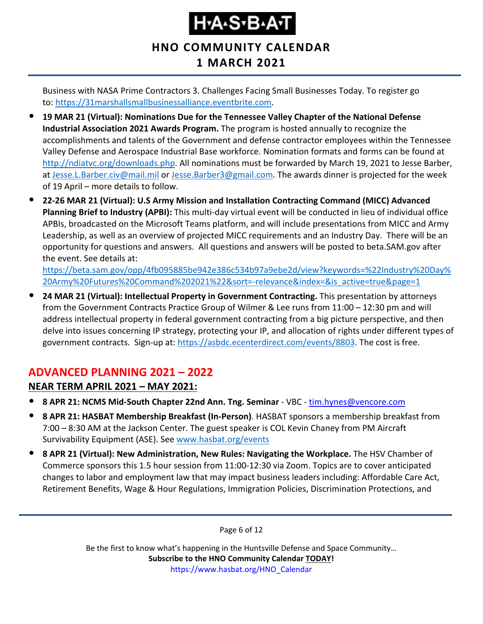### **HNO COMMUNITY CALENDAR 1 MARCH 2021**

Business with NASA Prime Contractors 3. Challenges Facing Small Businesses Today. To register go to: [https://31marshallsmallbusinessalliance.eventbrite.com.](https://usg02.safelinks.protection.office365.us/?url=https%3A%2F%2F31marshallsmallbusinessalliance.eventbrite.com%2F&data=04%7C01%7C%7C0f36919e37444ab850e108d8d460fcc1%7C4a877cfcec954ba0a4a3f6141161bfa5%7C0%7C1%7C637492860423911697%7CUnknown%7CTWFpbGZsb3d8eyJWIjoiMC4wLjAwMDAiLCJQIjoiV2luMzIiLCJBTiI6Ik1haWwiLCJXVCI6Mn0%3D%7C1000&sdata=QMj299%2BvYAKX2mjW%2FFU48HIa16uVEPpbnpboQjxOPQA%3D&reserved=0)

- **19 MAR 21 (Virtual): Nominations Due for the Tennessee Valley Chapter of the National Defense Industrial Association 2021 Awards Program.** The program is hosted annually to recognize the accomplishments and talents of the Government and defense contractor employees within the Tennessee Valley Defense and Aerospace Industrial Base workforce. Nomination formats and forms can be found at [http://ndiatvc.org/downloads.php.](http://ndiatvc.org/downloads.php) All nominations must be forwarded by March 19, 2021 to Jesse Barber, at [Jesse.L.Barber.civ@mail.mil](mailto:Jesse.L.Barber.civ@mail.mil) or [Jesse.Barber3@gmail.com.](mailto:Jesse.Barber3@gmail.com) The awards dinner is projected for the week of 19 April – more details to follow.
- **22-26 MAR 21 (Virtual): U.S Army Mission and Installation Contracting Command (MICC) Advanced Planning Brief to Industry (APBI):** This multi-day virtual event will be conducted in lieu of individual office APBIs, broadcasted on the Microsoft Teams platform, and will include presentations from MICC and Army Leadership, as well as an overview of projected MICC requirements and an Industry Day. There will be an opportunity for questions and answers. All questions and answers will be posted to beta.SAM.gov after the event. See details at:

[https://beta.sam.gov/opp/4fb095885be942e386c534b97a9ebe2d/view?keywords=%22Industry%20Day%](https://beta.sam.gov/opp/4fb095885be942e386c534b97a9ebe2d/view?keywords=%22Industry%20Day%20Army%20Futures%20Command%202021%22&sort=-relevance&index=&is_active=true&page=1) [20Army%20Futures%20Command%202021%22&sort=-relevance&index=&is\\_active=true&page=1](https://beta.sam.gov/opp/4fb095885be942e386c534b97a9ebe2d/view?keywords=%22Industry%20Day%20Army%20Futures%20Command%202021%22&sort=-relevance&index=&is_active=true&page=1)

• **24 MAR 21 (Virtual): Intellectual Property in Government Contracting.** This presentation by attorneys from the Government Contracts Practice Group of Wilmer & Lee runs from 11:00 – 12:30 pm and will address intellectual property in federal government contracting from a big picture perspective, and then delve into issues concerning IP strategy, protecting your IP, and allocation of rights under different types of government contracts. Sign-up at: [https://asbdc.ecenterdirect.com/events/8803.](https://asbdc.ecenterdirect.com/events/8803) The cost is free.

### <span id="page-5-0"></span>**ADVANCED PLANNING 2021 – 2022**

#### **NEAR TERM APRIL 2021 – MAY 2021:**

- **8 APR 21: NCMS Mid-South Chapter 22nd Ann. Tng. Seminar** VBC [tim.hynes@vencore.com](mailto:tim.hynes@vencore.com)
- **8 APR 21: HASBAT Membership Breakfast (In-Person)**. HASBAT sponsors a membership breakfast from 7:00 – 8:30 AM at the Jackson Center. The guest speaker is COL Kevin Chaney from PM Aircraft Survivability Equipment (ASE). See [www.hasbat.org/events](http://www.hasbat.org/events)
- **8 APR 21 (Virtual): New Administration, New Rules: Navigating the Workplace.** The HSV Chamber of Commerce sponsors this 1.5 hour session from 11:00-12:30 via Zoom. Topics are to cover anticipated changes to labor and employment law that may impact business leaders including: Affordable Care Act, Retirement Benefits, Wage & Hour Regulations, Immigration Policies, Discrimination Protections, and

Page 6 of 12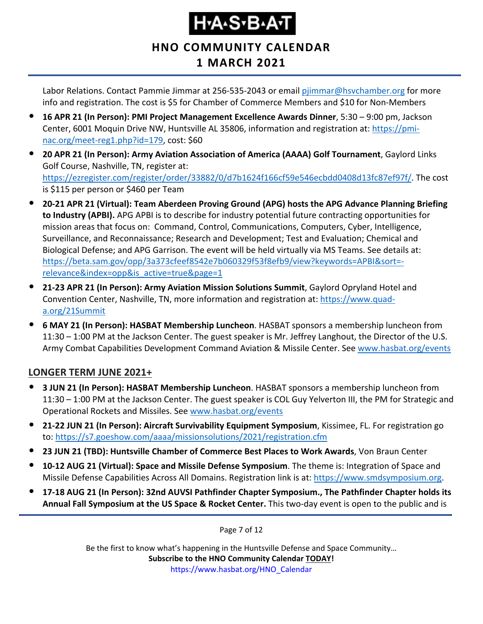### **HNO COMMUNITY CALENDAR 1 MARCH 2021**

Labor Relations. Contact Pammie Jimmar at 256-535-2043 or email [pjimmar@hsvchamber.org](mailto:pjimmar@hsvchamber.org) for more info and registration. The cost is \$5 for Chamber of Commerce Members and \$10 for Non-Members

- **16 APR 21 (In Person): PMI Project Management Excellence Awards Dinner**, 5:30 9:00 pm, Jackson Center, 6001 Moquin Drive NW, Huntsville AL 35806, information and registration at: [https://pmi](https://pmi-nac.org/meet-reg1.php?id=179)[nac.org/meet-reg1.php?id=179,](https://pmi-nac.org/meet-reg1.php?id=179) cost: \$60
- **20 APR 21 (In Person): Army Aviation Association of America (AAAA) Golf Tournament**, Gaylord Links Golf Course, Nashville, TN, register at: [https://ezregister.com/register/order/33882/0/d7b1624f166cf59e546ecbdd0408d13fc87ef97f/.](https://ezregister.com/register/order/33882/0/d7b1624f166cf59e546ecbdd0408d13fc87ef97f/) The cost is \$115 per person or \$460 per Team
- **20-21 APR 21 (Virtual): Team Aberdeen Proving Ground (APG) hosts the APG Advance Planning Briefing to Industry (APBI).** APG APBI is to describe for industry potential future contracting opportunities for mission areas that focus on: Command, Control, Communications, Computers, Cyber, Intelligence, Surveillance, and Reconnaissance; Research and Development; Test and Evaluation; Chemical and Biological Defense; and APG Garrison. The event will be held virtually via MS Teams. See details at: [https://beta.sam.gov/opp/3a373cfeef8542e7b060329f53f8efb9/view?keywords=APBI&sort=](https://beta.sam.gov/opp/3a373cfeef8542e7b060329f53f8efb9/view?keywords=APBI&sort=-relevance&index=opp&is_active=true&page=1) [relevance&index=opp&is\\_active=true&page=1](https://beta.sam.gov/opp/3a373cfeef8542e7b060329f53f8efb9/view?keywords=APBI&sort=-relevance&index=opp&is_active=true&page=1)
- **21-23 APR 21 (In Person): Army Aviation Mission Solutions Summit**, Gaylord Opryland Hotel and Convention Center, Nashville, TN, more information and registration at: [https://www.quad](https://www.quad-a.org/21Summit)[a.org/21Summit](https://www.quad-a.org/21Summit)
- **6 MAY 21 (In Person): HASBAT Membership Luncheon**. HASBAT sponsors a membership luncheon from 11:30 – 1:00 PM at the Jackson Center. The guest speaker is Mr. Jeffrey Langhout, the Director of the U.S. Army Combat Capabilities Development Command Aviation & Missile Center. See [www.hasbat.org/events](http://www.hasbat.org/events)

#### **LONGER TERM JUNE 2021+**

- **3 JUN 21 (In Person): HASBAT Membership Luncheon**. HASBAT sponsors a membership luncheon from 11:30 – 1:00 PM at the Jackson Center. The guest speaker is COL Guy Yelverton III, the PM for Strategic and Operational Rockets and Missiles. See [www.hasbat.org/events](http://www.hasbat.org/events)
- **21-22 JUN 21 (In Person): Aircraft Survivability Equipment Symposium**, Kissimee, FL. For registration go to:<https://s7.goeshow.com/aaaa/missionsolutions/2021/registration.cfm>
- **23 JUN 21 (TBD): Huntsville Chamber of Commerce Best Places to Work Awards**, Von Braun Center
- **10-12 AUG 21 (Virtual): Space and Missile Defense Symposium**. The theme is: Integration of Space and Missile Defense Capabilities Across All Domains. Registration link is at: [https://www.smdsymposium.org.](https://www.smdsymposium.org/)
- **17-18 AUG 21 (In Person): 32nd AUVSI Pathfinder Chapter Symposium., The Pathfinder Chapter holds its Annual Fall Symposium at the US Space & Rocket Center.** This two-day event is open to the public and is

Page 7 of 12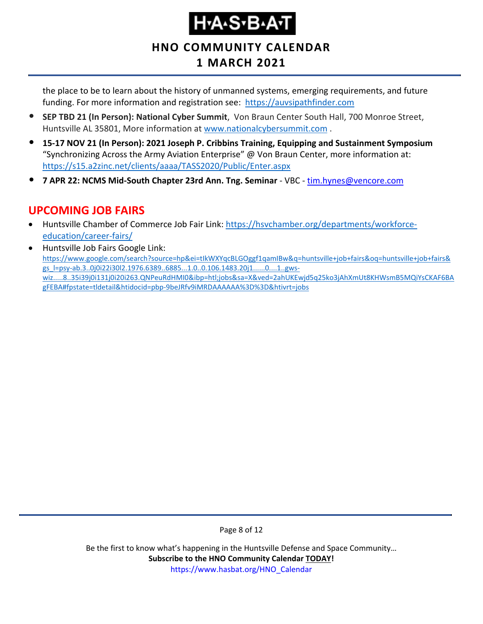### **Н•А•S•В•А•Т**

### **HNO COMMUNITY CALENDAR**

### **1 MARCH 2021**

the place to be to learn about the history of unmanned systems, emerging requirements, and future funding. For more information and registration see: [https://auvsipathfinder.com](https://auvsipathfinder.com/)

- **SEP TBD 21 (In Person): National Cyber Summit**, Von Braun Center South Hall, 700 Monroe Street, Huntsville AL 35801, More information at [www.nationalcybersummit.com](http://www.nationalcybersummit.com/) .
- **15-17 NOV 21 (In Person): 2021 Joseph P. Cribbins Training, Equipping and Sustainment Symposium** "Synchronizing Across the Army Aviation Enterprise" @ Von Braun Center, more information at: <https://s15.a2zinc.net/clients/aaaa/TASS2020/Public/Enter.aspx>
- **7 APR 22: NCMS Mid-South Chapter 23rd Ann. Tng. Seminar** VBC [tim.hynes@vencore.com](mailto:tim.hynes@vencore.com)

### <span id="page-7-0"></span>**UPCOMING JOB FAIRS**

- Huntsville Chamber of Commerce Job Fair Link: [https://hsvchamber.org/departments/workforce](https://hsvchamber.org/departments/workforce-education/career-fairs/)[education/career-fairs/](https://hsvchamber.org/departments/workforce-education/career-fairs/)
- Huntsville Job Fairs Google Link: [https://www.google.com/search?source=hp&ei=tIkWXYqcBLGOggf1qamIBw&q=huntsville+job+fairs&oq=huntsville+job+fairs&](https://www.google.com/search?source=hp&ei=tIkWXYqcBLGOggf1qamIBw&q=huntsville+job+fairs&oq=huntsville+job+fairs&gs_l=psy-ab.3..0j0i22i30l2.1976.6389..6885...1.0..0.106.1483.20j1......0....1..gws-wiz.....8..35i39j0i131j0i20i263.QNPeuRdHMI0&ibp=htl;jobs&sa=X&ved=2ahUKEwjd5q25ko3jAhXmUt8KHWsmB5MQiYsCKAF6BAgFEBA#fpstate=tldetail&htidocid=pbp-9beJRfv9iMRDAAAAAA%3D%3D&htivrt=jobs) [gs\\_l=psy-ab.3..0j0i22i30l2.1976.6389..6885...1.0..0.106.1483.20j1......0....1..gws](https://www.google.com/search?source=hp&ei=tIkWXYqcBLGOggf1qamIBw&q=huntsville+job+fairs&oq=huntsville+job+fairs&gs_l=psy-ab.3..0j0i22i30l2.1976.6389..6885...1.0..0.106.1483.20j1......0....1..gws-wiz.....8..35i39j0i131j0i20i263.QNPeuRdHMI0&ibp=htl;jobs&sa=X&ved=2ahUKEwjd5q25ko3jAhXmUt8KHWsmB5MQiYsCKAF6BAgFEBA#fpstate=tldetail&htidocid=pbp-9beJRfv9iMRDAAAAAA%3D%3D&htivrt=jobs)[wiz.....8..35i39j0i131j0i20i263.QNPeuRdHMI0&ibp=htl;jobs&sa=X&ved=2ahUKEwjd5q25ko3jAhXmUt8KHWsmB5MQiYsCKAF6BA](https://www.google.com/search?source=hp&ei=tIkWXYqcBLGOggf1qamIBw&q=huntsville+job+fairs&oq=huntsville+job+fairs&gs_l=psy-ab.3..0j0i22i30l2.1976.6389..6885...1.0..0.106.1483.20j1......0....1..gws-wiz.....8..35i39j0i131j0i20i263.QNPeuRdHMI0&ibp=htl;jobs&sa=X&ved=2ahUKEwjd5q25ko3jAhXmUt8KHWsmB5MQiYsCKAF6BAgFEBA#fpstate=tldetail&htidocid=pbp-9beJRfv9iMRDAAAAAA%3D%3D&htivrt=jobs) [gFEBA#fpstate=tldetail&htidocid=pbp-9beJRfv9iMRDAAAAAA%3D%3D&htivrt=jobs](https://www.google.com/search?source=hp&ei=tIkWXYqcBLGOggf1qamIBw&q=huntsville+job+fairs&oq=huntsville+job+fairs&gs_l=psy-ab.3..0j0i22i30l2.1976.6389..6885...1.0..0.106.1483.20j1......0....1..gws-wiz.....8..35i39j0i131j0i20i263.QNPeuRdHMI0&ibp=htl;jobs&sa=X&ved=2ahUKEwjd5q25ko3jAhXmUt8KHWsmB5MQiYsCKAF6BAgFEBA#fpstate=tldetail&htidocid=pbp-9beJRfv9iMRDAAAAAA%3D%3D&htivrt=jobs)

Page 8 of 12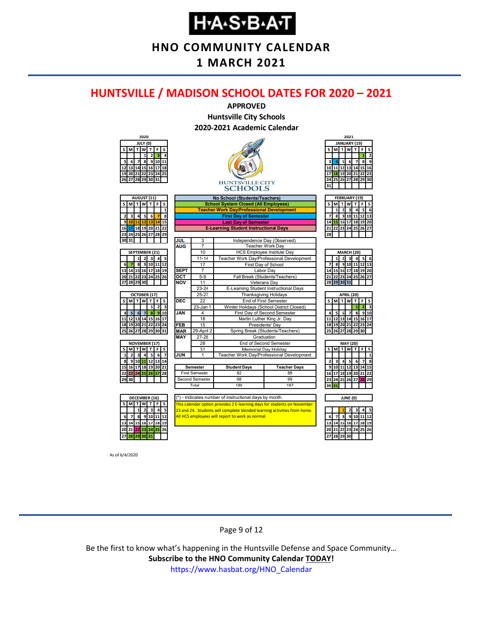**HNO COMMUNITY CALENDAR**

#### **1 MARCH 2021**

#### <span id="page-8-0"></span>**HUNTSVILLE / MADISON SCHOOL DATES FOR 2020 – 2021**



As of 6/4/2020

#### Page 9 of 12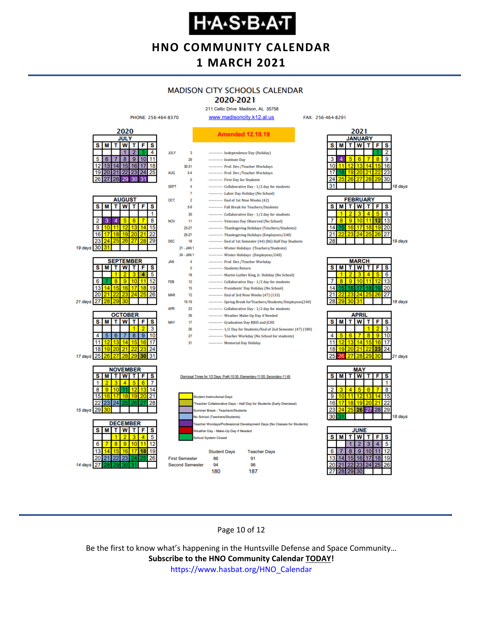**HNO COMMUNITY CALENDAR**

### **1 MARCH 2021**

### **MADISON CITY SCHOOLS CALENDAR**

2020-2021 211 Celtic Drive Madison, AL 35758

FAX: 256-464-8291



#### Page 10 of 12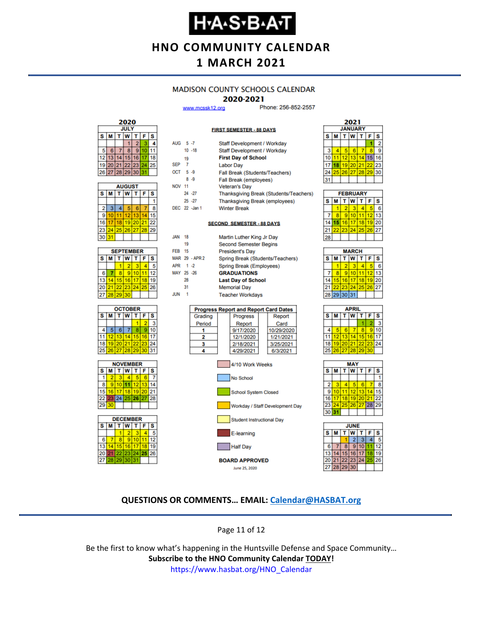### **Н•А•S•В•А•Т**

**HNO COMMUNITY CALENDAR**

### **1 MARCH 2021**

#### **MADISON COUNTY SCHOOLS CALENDAR**

#### 2020-2021

**FIRST SEMESTER - 88 DAYS** 

Staff Development / Workday

www.mcssk12.org

ALIC:  $5.7$ 

Phone: 256-852-2557



| <b>AUGUST</b> |                         |    |          |       |    |    |  |
|---------------|-------------------------|----|----------|-------|----|----|--|
| s             | lw<br>T<br>F<br>T.<br>М |    |          |       |    | S  |  |
|               |                         |    |          |       |    |    |  |
| 2             | 3                       |    | 5        | 6     |    | 8  |  |
| 9             | 10                      | 11 | 12       | 13    |    | 5  |  |
| 16            | 17                      | 18 |          | 19 20 | 21 | 22 |  |
| 23            | 24                      |    | 25 26 27 |       | 28 | 29 |  |
| 30            | 31                      |    |          |       |    |    |  |









|               |    |                               |                                  | <b>Stail Development</b> workday             |  |                                        |  |
|---------------|----|-------------------------------|----------------------------------|----------------------------------------------|--|----------------------------------------|--|
|               |    | $10 - 18$                     |                                  | Staff Development / Workday                  |  |                                        |  |
|               | 19 |                               |                                  | <b>First Day of School</b>                   |  |                                        |  |
| <b>SEP</b>    | 7  |                               |                                  | <b>Labor Day</b>                             |  |                                        |  |
| OCT 5-9       |    |                               |                                  | Fall Break (Students/Teachers)               |  |                                        |  |
|               |    | $8 - 9$                       |                                  | Fall Break (employees)                       |  |                                        |  |
| <b>NOV 11</b> |    |                               |                                  | <b>Veteran's Day</b>                         |  |                                        |  |
|               |    | $24 - 27$                     |                                  |                                              |  | Thanksgiving Break (Students/Teachers) |  |
|               |    | $25 - 27$                     |                                  | <b>Thanksgiving Break (employees)</b>        |  |                                        |  |
|               |    | DEC 22 -Jan 1                 |                                  | <b>Winter Break</b>                          |  |                                        |  |
|               |    |                               |                                  |                                              |  |                                        |  |
|               |    |                               |                                  | <b>SECOND SEMESTER - 88 DAYS</b>             |  |                                        |  |
| <b>JAN</b>    | 18 |                               |                                  | Martin Luther King Jr Day                    |  |                                        |  |
|               | 19 |                               |                                  | <b>Second Semester Begins</b>                |  |                                        |  |
| <b>FEB</b>    | 15 |                               |                                  | <b>President's Day</b>                       |  |                                        |  |
|               |    | MAR 29 - APR 2                | Spring Break (Students/Teachers) |                                              |  |                                        |  |
| APR 1 -2      |    |                               | Spring Break (Employees)         |                                              |  |                                        |  |
| MAY 25 -26    |    |                               | <b>GRADUATIONS</b>               |                                              |  |                                        |  |
|               | 28 |                               |                                  | <b>Last Day of School</b>                    |  |                                        |  |
|               | 31 |                               |                                  | <b>Memorial Day</b>                          |  |                                        |  |
| <b>JUN</b>    | 1  |                               |                                  | <b>Teacher Workdays</b>                      |  |                                        |  |
|               |    |                               |                                  |                                              |  |                                        |  |
|               |    |                               |                                  | <b>Progress Report and Report Card Dates</b> |  |                                        |  |
|               |    | Progress<br>Grading<br>Report |                                  |                                              |  |                                        |  |

| Grading | <b>Progress</b> | Report     |
|---------|-----------------|------------|
| Period  | Report          | Card       |
|         | 9/17/2020       | 10/29/2020 |
|         | 12/1/2020       | 1/21/2021  |
|         | 2/18/2021       | 3/25/2021  |
|         | 4/29/2021       | 6/3/2021   |





| <b>FEBRUARY</b> |    |    |                 |                             |                   |    |  |  |
|-----------------|----|----|-----------------|-----------------------------|-------------------|----|--|--|
| s               | м  |    | T W             | $\mathbf{T}$                | F                 | s  |  |  |
|                 |    | ۰  | з               |                             |                   | ĥ  |  |  |
|                 | R  | 9) | 10 <sup>1</sup> |                             | $12 \overline{ }$ | 13 |  |  |
|                 | 15 |    |                 | 16 17 18 19 20              |                   |    |  |  |
|                 |    |    |                 | 22   23   24   25   26   27 |                   |    |  |  |
|                 |    |    |                 |                             |                   |    |  |  |

| <b>MARCH</b> |             |    |    |    |    |    |  |  |
|--------------|-------------|----|----|----|----|----|--|--|
| s            | M           | Ť. | W  | т  | F  | S  |  |  |
|              |             | 2  |    |    |    | R  |  |  |
|              | 8           | 9  | 10 |    | 12 | 13 |  |  |
| 14           | 15          | 16 | 17 | 18 | 19 | 20 |  |  |
| 21           |             | 23 | 24 | 25 | 26 | 27 |  |  |
|              | 28 29 30 31 |    |    |    |    |    |  |  |
|              |             |    |    |    |    |    |  |  |

| APRIL |          |             |   |    |    |    |  |  |
|-------|----------|-------------|---|----|----|----|--|--|
| s     | M<br>т   |             | W | т  | F  | s  |  |  |
|       |          |             |   |    |    | 3  |  |  |
| 4     |          | 6           |   | 8  | 9  | 10 |  |  |
| 11    |          | 12 13 14    |   | 15 | 16 | 17 |  |  |
| 18    |          | 19 20 21 22 |   |    | 23 | 24 |  |  |
| 25    | 26 27 28 |             |   | 29 | 30 |    |  |  |
|       |          |             |   |    |    |    |  |  |





#### **QUESTIONS OR COMMENTS… EMAIL: [Calendar@HASBAT.org](mailto:calendar@hasbat.org)**

Page 11 of 12